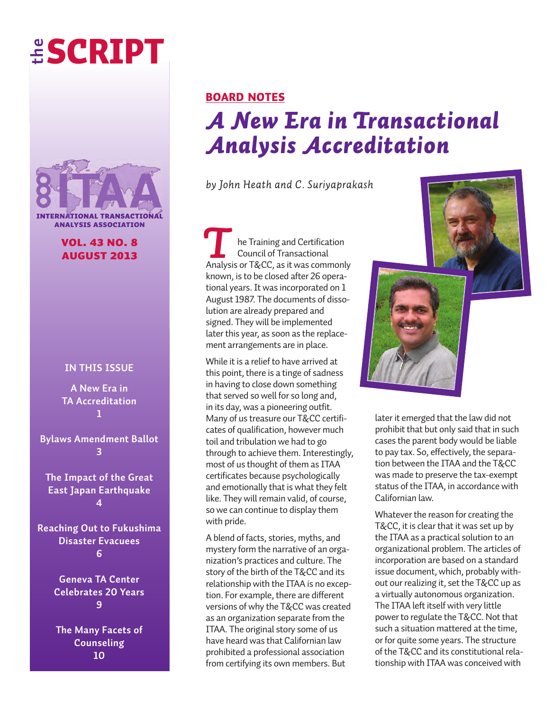# **the SCRIPT**



**vol. 43 no. 8 AUGUST 2013** *T*

#### **in this issue**

**A new era in tA Accreditation 1**

**Bylaws Amendment Ballot 3**

**the impact of the Great East Japan Earthquake 4**

**Reaching Out to Fukushima Disaster Evacuees 6**

> **Geneva tA Center Celebrates 20 Years 9**

**the Many Facets of Counseling 10**

### **BOARD  NOTES** *A New Era in Transactional Analysis Accreditation*

*by John Heath and C. Suriyaprakash*

he Training and Certification Council of Transactional Analysis or T&CC, as it was commonly known, is to be closed after 26 operational years. It was incorporated on 1 August 1987. The documents of dissolution are already prepared and signed. They will be implemented later this year, as soon as the replacement arrangements are in place.

While it is a relief to have arrived at this point, there is a tinge of sadness in having to close down something that served so well for so long and, in its day, was a pioneering outfit. Many of us treasure our T&CC certificates of qualification, however much toil and tribulation we had to go through to achieve them. Interestingly, most of us thought of them as ITAA certificates because psychologically and emotionally that is what they felt like. They will remain valid, of course, so we can continue to display them with pride.

A blend of facts, stories, myths, and mystery form the narrative of an organization's practices and culture. The story of the birth of the T&CC and its relationship with the ITAA is no exception. For example, there are different versions of why the T&CC was created as an organization separate from the ITAA. The original story some of us have heard was that Californian law prohibited a professional association from certifying its own members. But



later it emerged that the law did not prohibit that but only said that in such cases the parent body would be liable to pay tax. So, effectively, the separation between the ITAA and the T&CC was made to preserve the tax-exempt status of the ITAA, in accordance with Californian law.

Whatever the reason for creating the T&CC, it is clear that it was set up by the ITAA as a practical solution to an organizational problem. The articles of incorporation are based on a standard issue document, which, probably without our realizing it, set the T&CC up as a virtually autonomous organization. The ITAA left itself with very little power to regulate the T&CC. Not that such a situation mattered at the time, or for quite some years. The structure of the T&CC and its constitutional relationship with ITAA was conceived with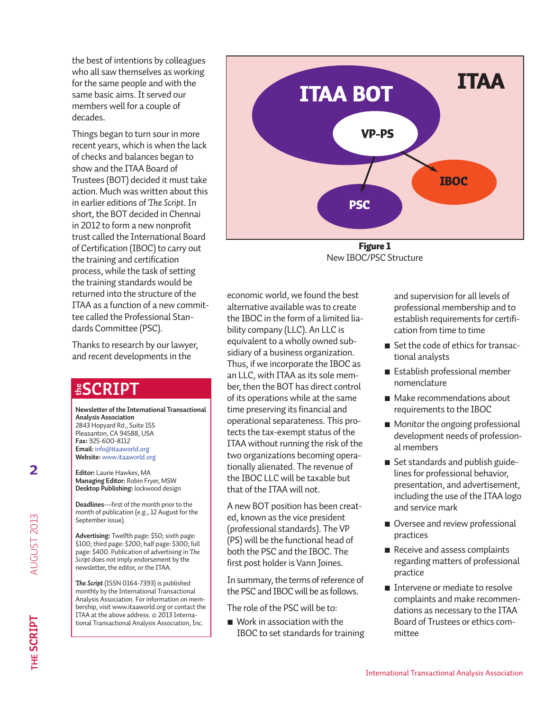the best of intentions by colleagues who all saw themselves as working for the same people and with the same basic aims. It served our members well for a couple of decades.

Things began to turn sour in more recent years, which is when the lack of checks and balances began to show and the ITAA Board of Trustees (BOT) decided it must take action. Much was written about this in earlier editions of *The Script*. In short, the BOT decided in Chennai in 2012 to form a new nonprofit trust called the International Board of Certification (IBOC) to carry out the training and certification process, while the task of setting the training standards would be returned into the structure of the ITAA as a function of a new committee called the Professional Standards Committee (PSC).

Thanks to research by our lawyer, and recent developments in the

### **sCRiPt**

**Newsletter of the International Transactional Analysis Association** 2843 Hopyard Rd., Suite 155

Pleasanton, CA 94588, USA **Fax:** 925-600-8112 **email:** info@itaaworld.org **Website:** <www.itaaworld.org>

**editor:** Laurie Hawkes, MA **Managing editor:** Robin Fryer, MSW **Desktop Publishing:** lockwood design

**Deadlines**—first of the month prior to the month of publication (e.g., 12 August for the September issue).

**Advertising:** Twelfth page: \$50; sixth page: \$100; third page: \$200; half page: \$300; full page: \$400. Publication of advertising in *The Script* does not imply endorsement by the newsletter, the editor, or the ITAA.

*The Script* (ISSN 0164-7393) is published monthly by the International Transactional Analysis Association. For information on membership, visit www.itaaworld.org or contact the ITAA at the above address. © 2013 Interna-<br>tional Transactional Analysis Association, Inc. **ESCRIP**<br>
Newsletter of the International Transactiona<br>
Analysis Association<br>
2843 Hopyard Rd., Suite 155<br>
Pleasanton, CA 94588, USA<br> **Fax:** 925-600-8112<br> **Email:** info@itaaworld.org<br> **Website:** www.itaaworld.org<br> **Editor:** 



**Figure 1** New IBOC/PSC Structure

economic world, we found the best alternative available was to create the IBOC in the form of a limited liability company (LLC). An LLC is equivalent to a wholly owned subsidiary of a business organization. Thus, if we incorporate the IBOC as an LLC, with ITAA as its sole member, then the BOT has direct control of its operations while at the same time preserving its financial and operational separateness. This protects the tax-exempt status of the ITAA without running the risk of the two organizations becoming operationally alienated. The revenue of the IBOC LLC will be taxable but that of the ITAA will not.

A new BOT position has been created, known as the vice president (professional standards). The VP (PS) will be the functional head of both the PSC and the IBOC. The first post holder is Vann Joines.

In summary, the terms of reference of the PSC and IBOC will be as follows.

The role of the PSC will be to:

 $\blacksquare$  Work in association with the IBOC to set standards for training

and supervision for all levels of professional membership and to establish requirements for certification from time to time

- Set the code of ethics for transactional analysts
- Establish professional member nomenclature
- Make recommendations about requirements to the IBOC
- $\blacksquare$  Monitor the ongoing professional development needs of professional members
- $\blacksquare$  Set standards and publish guidelines for professional behavior, presentation, and advertisement, including the use of the ITAA logo and service mark
- Oversee and review professional practices
- Receive and assess complaints regarding matters of professional practice
- $\blacksquare$  Intervene or mediate to resolve complaints and make recommendations as necessary to the ITAA Board of Trustees or ethics committee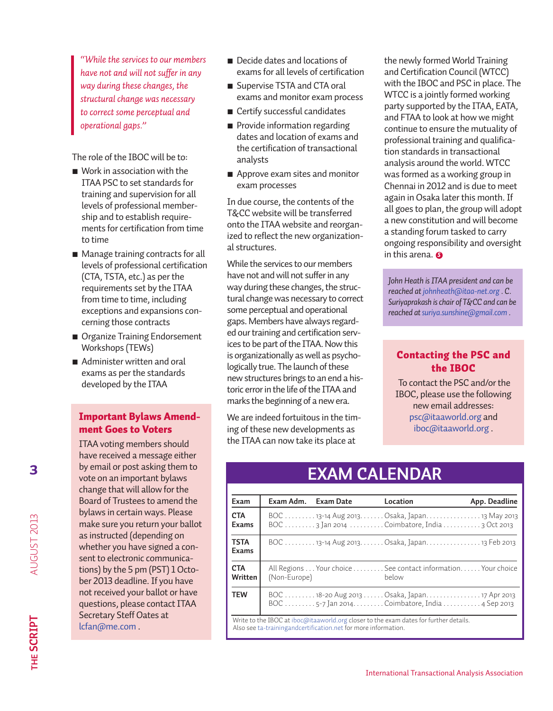*"While the services to our members have not and will not suffer in any way during these changes, the structural change was necessary to correct some perceptual and operational gaps."*

The role of the IBOC will be to:

- $\blacksquare$  Work in association with the ITAA PSC to set standards for training and supervision for all levels of professional membership and to establish requirements for certification from time to time
- Manage training contracts for all levels of professional certification (CTA, TSTA, etc.) as per the requirements set by the ITAA from time to time, including exceptions and expansions concerning those contracts
- **n** Organize Training Endorsement Workshops (TEWs)
- Administer written and oral exams as per the standards developed by the ITAA

#### **Important Bylaws Amendment Goes to Voters**

ITAA voting members should have received a message either by email or post asking them to vote on an important bylaws change that will allow for the Board of Trustees to amend the bylaws in certain ways. Please make sure you return your ballot as instructed (depending on whether you have signed a consent to electronic communications) by the 5 pm (PST) 1 October 2013 deadline. If you have not received your ballot or have questions, please contact ITAA Secretary Steff Oates at lcfan@me.com .

- Decide dates and locations of exams for all levels of certification
- Supervise TSTA and CTA oral exams and monitor exam process
- Certify successful candidates
- **Provide information regarding** dates and location of exams and the certification of transactional analysts
- Approve exam sites and monitor exam processes

In due course, the contents of the T&CC website will be transferred onto the ITAA website and reorganized to reflect the new organizational structures.

While the services to our members have not and will not suffer in any way during these changes, the structural change was necessary to correct some perceptual and operational gaps. Members have always regarded our training and certification services to be part of the ITAA. Now this is organizationally as well as psychologically true. The launch of these new structures brings to an end a historic error in the life of the ITAA and marks the beginning of a new era.

We are indeed fortuitous in the timing of these new developments as the ITAA can now take its place at

the newly formed World Training and Certification Council (WTCC) with the IBOC and PSC in place. The WTCC is a jointly formed working party supported by the ITAA, EATA, and FTAA to look at how we might continue to ensure the mutuality of professional training and qualification standards in transactional analysis around the world. WTCC was formed as a working group in Chennai in 2012 and is due to meet again in Osaka later this month. If all goes to plan, the group will adopt a new constitution and will become a standing forum tasked to carry ongoing responsibility and oversight in this arena. *S*

*John Heath is ITAA president and can be reached at johnheath@itaa-net.org . C. Suriyaprakash is chair of T&CC and can be reached at suriya.sunshine@gmail.com .*

#### **Contacting the PSC and the IBOC**

To contact the PSC and/or the IBOC, please use the following new email addresses: psc@itaaworld.org and iboc@itaaworld.org .

### **EXAM CALENDAR**

| Exam                                                                                                                                                    | Exam Adm.    | <b>Exam Date</b> | Location                                                                                       | App. Deadline |
|---------------------------------------------------------------------------------------------------------------------------------------------------------|--------------|------------------|------------------------------------------------------------------------------------------------|---------------|
| <b>CTA</b><br>Exams                                                                                                                                     |              |                  | BOC 13-14 Aug 2013. Osaka, Japan. 13 May 2013<br>BOC  3 Jan 2014 Coimbatore, India  3 Oct 2013 |               |
| <b>TSTA</b><br>Exams                                                                                                                                    |              |                  | BOC 13-14 Aug 2013 Osaka, Japan13 Feb 2013                                                     |               |
| <b>CTA</b><br>Written                                                                                                                                   | (Non-Europe) |                  | All Regions Your choice See contact information Your choice<br>below                           |               |
| <b>TEW</b>                                                                                                                                              |              |                  | BOC 5-7 Jan 2014Coimbatore, India  4 Sep 2013                                                  |               |
| Write to the IBOC at iboc@itaaworld.org closer to the exam dates for further details.<br>Also see ta-trainingandcertification.net for more information. |              |                  |                                                                                                |               |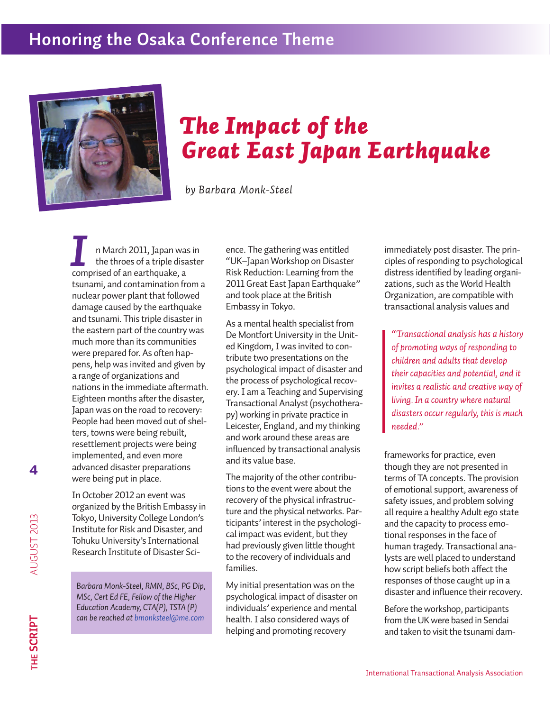### **Honoring the Osaka Conference Theme**



# *The Impact of the Great East Japan Earthquake*

*by Barbara Monk-Steel*

n March 2011, Japan was in the throes of a triple disaster **I** In March 2011, Japan was the throes of a triple disacomprised of an earthquake, a tsunami, and contamination from a nuclear power plant that followed damage caused by the earthquake and tsunami. This triple disaster in the eastern part of the country was much more than its communities were prepared for. As often happens, help was invited and given by a range of organizations and nations in the immediate aftermath. Eighteen months after the disaster, Japan was on the road to recovery: People had been moved out of shelters, towns were being rebuilt, resettlement projects were being implemented, and even more advanced disaster preparations were being put in place.

In October 2012 an event was organized by the British Embassy in Tokyo, University College London's Institute for Risk and Disaster, and Tohuku University's International Research Institute of Disaster Sci-

*Barbara Monk-Steel, RMN, BSc, PG Dip, MSc, Cert Ed FE, Fellow of the Higher Education Academy, CTA(P), TSTA (P) can be reached at bmonksteel@me.com* 

ence. The gathering was entitled "UK–Japan Workshop on Disaster Risk Reduction: Learning from the 2011 Great East Japan Earthquake" and took place at the British Embassy in Tokyo.

As a mental health specialist from De Montfort University in the United Kingdom, I was invited to contribute two presentations on the psychological impact of disaster and the process of psychological recovery. I am a Teaching and Supervising Transactional Analyst (psychotherapy) working in private practice in Leicester, England, and my thinking and work around these areas are influenced by transactional analysis and its value base.

The majority of the other contributions to the event were about the recovery of the physical infrastructure and the physical networks. Participants' interest in the psychological impact was evident, but they had previously given little thought to the recovery of individuals and families.

My initial presentation was on the psychological impact of disaster on individuals' experience and mental health. I also considered ways of helping and promoting recovery

immediately post disaster. The principles of responding to psychological distress identified by leading organizations, such as the World Health Organization, are compatible with transactional analysis values and

*"Transactional analysis has a history of promoting ways of responding to children and adults that develop their capacities and potential, and it invites a realistic and creative way of living. In a country where natural disasters occur regularly, this is much needed."*

frameworks for practice, even though they are not presented in terms of TA concepts. The provision of emotional support, awareness of safety issues, and problem solving all require a healthy Adult ego state and the capacity to process emotional responses in the face of human tragedy. Transactional analysts are well placed to understand how script beliefs both affect the responses of those caught up in a disaster and influence their recovery.

Before the workshop, participants from the UK were based in Sendai and taken to visit the tsunami dam-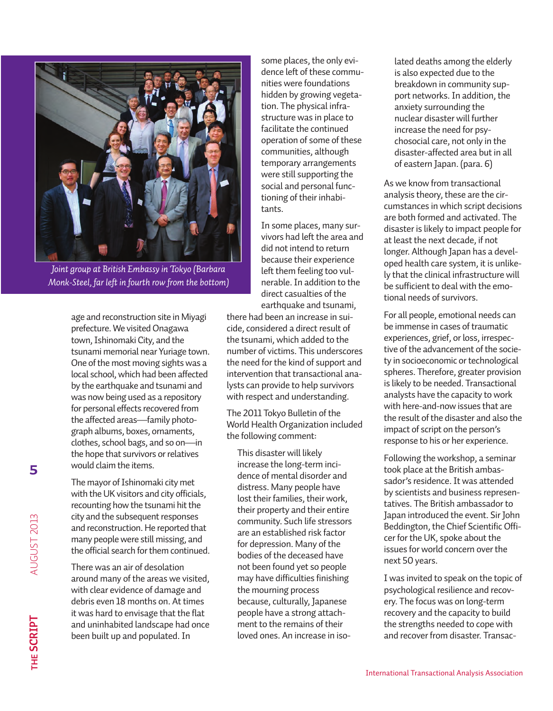

*Joint group at British Embassy in Tokyo (Barbara Monk-Steel, far left in fourth row from the bottom)*

age and reconstruction site in Miyagi prefecture. We visited Onagawa town, Ishinomaki City, and the tsunami memorial near Yuriage town. One of the most moving sights was a local school, which had been affected by the earthquake and tsunami and was now being used as a repository for personal effects recovered from the affected areas—family photograph albums, boxes, ornaments, clothes, school bags, and so on—in the hope that survivors or relatives would claim the items.

The mayor of Ishinomaki city met with the UK visitors and city officials, recounting how the tsunami hit the city and the subsequent responses and reconstruction. He reported that many people were still missing, and the official search for them continued.

There was an air of desolation around many of the areas we visited, with clear evidence of damage and debris even 18 months on. At times it was hard to envisage that the flat and uninhabited landscape had once been built up and populated. In

some places, the only evidence left of these communities were foundations hidden by growing vegetation. The physical infrastructure was in place to facilitate the continued operation of some of these communities, although temporary arrangements were still supporting the social and personal functioning of their inhabitants.

In some places, many survivors had left the area and did not intend to return because their experience left them feeling too vulnerable. In addition to the direct casualties of the earthquake and tsunami,

there had been an increase in suicide, considered a direct result of the tsunami, which added to the number of victims. This underscores the need for the kind of support and intervention that transactional analysts can provide to help survivors with respect and understanding.

The 2011 Tokyo Bulletin of the World Health Organization included the following comment:

This disaster will likely increase the long-term incidence of mental disorder and distress. Many people have lost their families, their work, their property and their entire community. Such life stressors are an established risk factor for depression. Many of the bodies of the deceased have not been found yet so people may have difficulties finishing the mourning process because, culturally, Japanese people have a strong attachment to the remains of their loved ones. An increase in isolated deaths among the elderly is also expected due to the breakdown in community support networks. In addition, the anxiety surrounding the nuclear disaster will further increase the need for psychosocial care, not only in the disaster-affected area but in all of eastern Japan. (para. 6)

As we know from transactional analysis theory, these are the circumstances in which script decisions are both formed and activated. The disaster is likely to impact people for at least the next decade, if not longer. Although Japan has a developed health care system, it is unlikely that the clinical infrastructure will be sufficient to deal with the emotional needs of survivors.

For all people, emotional needs can be immense in cases of traumatic experiences, grief, or loss, irrespective of the advancement of the society in socioeconomic or technological spheres. Therefore, greater provision is likely to be needed. Transactional analysts have the capacity to work with here-and-now issues that are the result of the disaster and also the impact of script on the person's response to his or her experience.

Following the workshop, a seminar took place at the British ambassador's residence. It was attended by scientists and business representatives. The British ambassador to Japan introduced the event. Sir John Beddington, the Chief Scientific Officer for the UK, spoke about the issues for world concern over the next 50 years.

I was invited to speak on the topic of psychological resilience and recovery. The focus was on long-term recovery and the capacity to build the strengths needed to cope with and recover from disaster. Transac-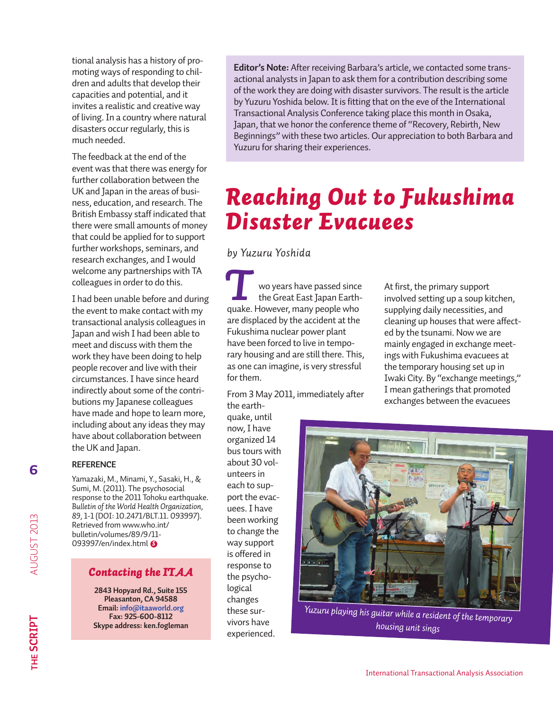tional analysis has a history of promoting ways of responding to children and adults that develop their capacities and potential, and it invites a realistic and creative way of living. In a country where natural disasters occur regularly, this is much needed.

The feedback at the end of the event was that there was energy for further collaboration between the UK and Japan in the areas of business, education, and research. The British Embassy staff indicated that there were small amounts of money that could be applied for to support further workshops, seminars, and research exchanges, and I would welcome any partnerships with TA colleagues in order to do this.

I had been unable before and during the event to make contact with my transactional analysis colleagues in Japan and wish I had been able to meet and discuss with them the work they have been doing to help people recover and live with their circumstances. I have since heard indirectly about some of the contributions my Japanese colleagues have made and hope to learn more, including about any ideas they may have about collaboration between the UK and Japan.

#### **ReFeRenCe**

Yamazaki, M., Minami, Y., Sasaki, H., & Sumi, M. (2011). The psychosocial response to the 2011 Tohoku earthquake. *Bulletin of the World Health Organization, 89,* 1-1 (DOI: 10.2471/BLT.11. 093997). Retrieved from www.who.int/ bulletin/volumes/89/9/11- 093997/en/index.html *S*

#### *Contacting the ITAA*

**2843 hopyard Rd., suite 155 Pleasanton, CA 94588 email: info@itaaworld.org Fax: 925-600-8112 skype address: ken.fogleman**

**editor's note:** After receiving Barbara's article, we contacted some transactional analysts in Japan to ask them for a contribution describing some of the work they are doing with disaster survivors. The result is the article by Yuzuru Yoshida below. It is fitting that on the eve of the International Transactional Analysis Conference taking place this month in Osaka, Japan, that we honor the conference theme of "Recovery, Rebirth, New Beginnings" with these two articles. Our appreciation to both Barbara and Yuzuru for sharing their experiences.

# *Reaching Out to Fukushima Disaster Evacuees*

*by Yuzuru Yoshida* 

wo years have passed since the Great East Japan Earthquake. However, many people who are displaced by the accident at the Fukushima nuclear power plant have been forced to live in temporary housing and are still there. This, as one can imagine, is very stressful for them. **T**<br> **The Second Wears have passed since** At first, the primary support<br>
the Great East Japan Earth-<br> **The However many people who**<br> **Europhing daily passesities** 

From 3 May 2011, immediately after the earth-

quake, until now, I have organized 14 bus tours with about 30 volunteers in each to support the evacuees. I have been working to change the way support is offered in response to the psychological changes these survivors have experienced.

involved setting up a soup kitchen, supplying daily necessities, and cleaning up houses that were affected by the tsunami. Now we are mainly engaged in exchange meetings with Fukushima evacuees at the temporary housing set up in Iwaki City. By "exchange meetings," I mean gatherings that promoted exchanges between the evacuees



*Yuzuru playing his guitar while a resident of the temporary housing unit sings*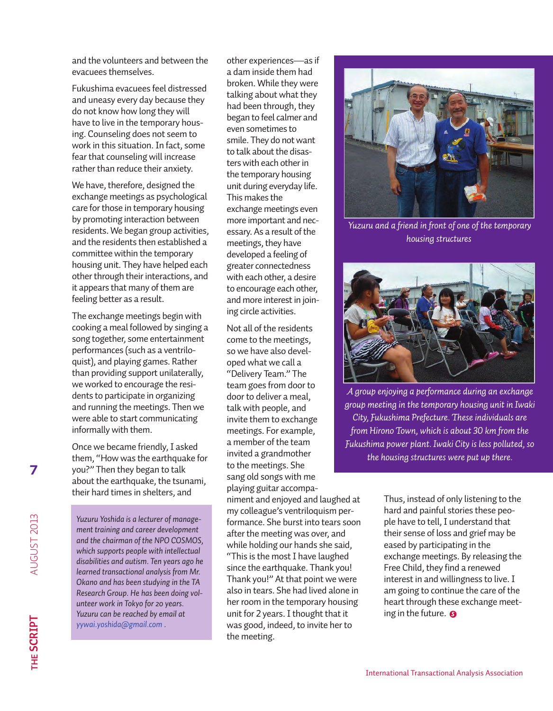and the volunteers and between the evacuees themselves.

Fukushima evacuees feel distressed and uneasy every day because they do not know how long they will have to live in the temporary housing. Counseling does not seem to work in this situation. In fact, some fear that counseling will increase rather than reduce their anxiety.

We have, therefore, designed the exchange meetings as psychological care for those in temporary housing by promoting interaction between residents. We began group activities, and the residents then established a committee within the temporary housing unit. They have helped each other through their interactions, and it appears that many of them are feeling better as a result.

The exchange meetings begin with cooking a meal followed by singing a song together, some entertainment performances (such as a ventriloquist), and playing games. Rather than providing support unilaterally, we worked to encourage the residents to participate in organizing and running the meetings. Then we were able to start communicating informally with them.

Once we became friendly, I asked them, "How was the earthquake for you?" Then they began to talk about the earthquake, the tsunami, their hard times in shelters, and

*Yuzuru Yoshida is a lecturer of management training and career development and the chairman of the NPO COSMOS, which supports people with intellectual disabilities and autism. Ten years ago he learned transactional analysis from Mr. Okano and has been studying in the TA Research Group. He has been doing volunteer work in Tokyo for 20 years. Yuzuru can be reached by email at yywai.yoshida@gmail.com .*

other experiences—as if a dam inside them had broken. While they were talking about what they had been through, they began to feel calmer and even sometimes to smile. They do not want to talk about the disasters with each other in the temporary housing unit during everyday life. This makes the exchange meetings even more important and necessary. As a result of the meetings, they have developed a feeling of greater connectedness with each other, a desire to encourage each other, and more interest in joining circle activities.

Not all of the residents come to the meetings, so we have also developed what we call a "Delivery Team." The team goes from door to door to deliver a meal, talk with people, and invite them to exchange meetings. For example, a member of the team invited a grandmother to the meetings. She sang old songs with me playing guitar accompa-

niment and enjoyed and laughed at my colleague's ventriloquism performance. She burst into tears soon after the meeting was over, and while holding our hands she said, "This is the most I have laughed since the earthquake. Thank you! Thank you!" At that point we were also in tears. She had lived alone in her room in the temporary housing unit for 2 years. I thought that it was good, indeed, to invite her to the meeting.



*Yuzuru and a friend in front of one of the temporary housing structures*



*A group enjoying a performance during an exchange group meeting in the temporary housing unit in Iwaki City, Fukushima Prefecture. These individuals are from Hirono Town, which is about 30 km from the Fukushima power plant. Iwaki City is less polluted, so the housing structures were put up there.*

Thus, instead of only listening to the hard and painful stories these people have to tell, I understand that their sense of loss and grief may be eased by participating in the exchange meetings. By releasing the Free Child, they find a renewed interest in and willingness to live. I am going to continue the care of the heart through these exchange meeting in the future. *S*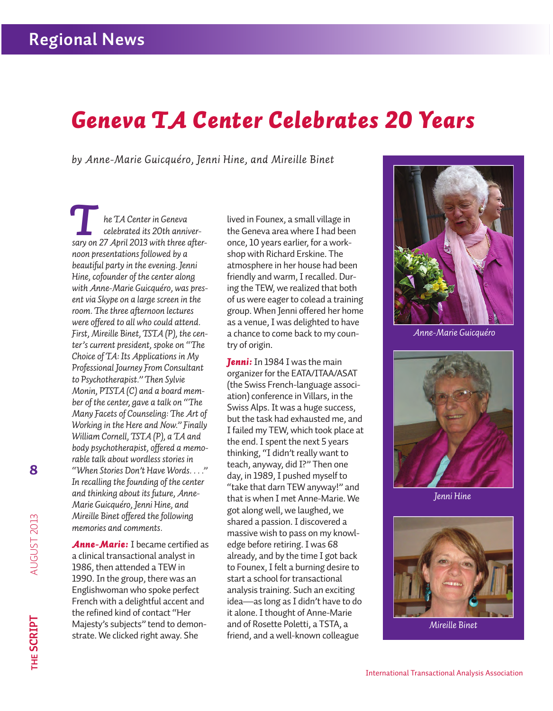# *Geneva TA Center Celebrates 20 Years*

*by Anne-Marie Guicquéro, Jenni Hine, and Mireille Binet*

*he TA Center in Geneva celebrated its 20th anniver***he TA Center in Geneva**<br> *celebrated its 20th anniver-*<br> *Sary on 27 April 2013 with three afternoon presentations followed by a beautiful party in the evening. Jenni Hine, cofounder of the center along with Anne-Marie Guicquéro, was present via Skype on a large screen in the room. The three afternoon lectures were offered to all who could attend. First, Mireille Binet, TSTA (P), the center's current president, spoke on "The Choice of TA: Its Applications in My Professional Journey From Consultant to Psychotherapist." Then Sylvie Monin, PTSTA (C) and a board member of the center, gave a talk on "The Many Facets of Counseling: The Art of Working in the Here and Now." Finally William Cornell, TSTA (P), a TA and body psychotherapist, offered a memorable talk about wordless stories in "When Stories Don't Have Words. . . ." In recalling the founding of the center and thinking about its future, Anne-Marie Guicquéro, Jenni Hine, and Mireille Binet offered the following memories and comments.*

*Anne-Marie:* I became certified as a clinical transactional analyst in 1986, then attended a TEW in 1990. In the group, there was an Englishwoman who spoke perfect French with a delightful accent and the refined kind of contact "Her Majesty's subjects" tend to demonstrate. We clicked right away. She

lived in Founex, a small village in the Geneva area where I had been once, 10 years earlier, for a workshop with Richard Erskine. The atmosphere in her house had been friendly and warm, I recalled. During the TEW, we realized that both of us were eager to colead a training group. When Jenni offered her home as a venue, I was delighted to have a chance to come back to my country of origin.

*Jenni:* In 1984 I was the main organizer for the EATA/ITAA/ASAT (the Swiss French-language association) conference in Villars, in the Swiss Alps. It was a huge success, but the task had exhausted me, and I failed my TEW, which took place at the end. I spent the next 5 years thinking, "I didn't really want to teach, anyway, did I?" Then one day, in 1989, I pushed myself to "take that darn TEW anyway!" and that is when I met Anne-Marie. We got along well, we laughed, we shared a passion. I discovered a massive wish to pass on my knowledge before retiring. I was 68 already, and by the time I got back to Founex, I felt a burning desire to start a school for transactional analysis training. Such an exciting idea—as long as I didn't have to do it alone. I thought of Anne-Marie and of Rosette Poletti, a TSTA, a friend, and a well-known colleague



*Anne-Marie Guicquéro*



*Jenni Hine*



*Mireille Binet*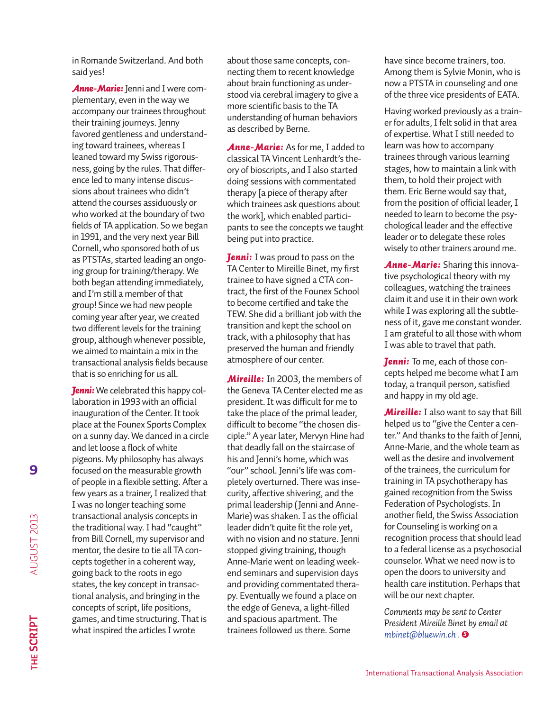in Romande Switzerland. And both said yes!

*Anne-Marie:* Jenni and I were complementary, even in the way we accompany our trainees throughout their training journeys. Jenny favored gentleness and understanding toward trainees, whereas I leaned toward my Swiss rigorousness, going by the rules. That difference led to many intense discussions about trainees who didn't attend the courses assiduously or who worked at the boundary of two fields of TA application. So we began in 1991, and the very next year Bill Cornell, who sponsored both of us as PTSTAs, started leading an ongoing group for training/therapy. We both began attending immediately, and I'm still a member of that group! Since we had new people coming year after year, we created two different levels for the training group, although whenever possible, we aimed to maintain a mix in the transactional analysis fields because that is so enriching for us all.

*Jenni:* We celebrated this happy collaboration in 1993 with an official inauguration of the Center. It took place at the Founex Sports Complex on a sunny day. We danced in a circle and let loose a flock of white pigeons. My philosophy has always focused on the measurable growth of people in a flexible setting. After a few years as a trainer, I realized that I was no longer teaching some transactional analysis concepts in the traditional way. I had "caught" from Bill Cornell, my supervisor and mentor, the desire to tie all TA concepts together in a coherent way, going back to the roots in ego states, the key concept in transactional analysis, and bringing in the concepts of script, life positions, games, and time structuring. That is what inspired the articles I wrote

about those same concepts, connecting them to recent knowledge about brain functioning as understood via cerebral imagery to give a more scientific basis to the TA understanding of human behaviors as described by Berne.

*Anne-Marie: As for me, I added to* classical TA Vincent Lenhardt's theory of bioscripts, and I also started doing sessions with commentated therapy [a piece of therapy after which trainees ask questions about the work], which enabled participants to see the concepts we taught being put into practice.

*Jenni:* I was proud to pass on the TA Center to Mireille Binet, my first trainee to have signed a CTA contract, the first of the Founex School to become certified and take the TEW. She did a brilliant job with the transition and kept the school on track, with a philosophy that has preserved the human and friendly atmosphere of our center.

*Mireille:* In 2003, the members of the Geneva TA Center elected me as president. It was difficult for me to take the place of the primal leader, difficult to become "the chosen disciple." A year later, Mervyn Hine had that deadly fall on the staircase of his and Jenni's home, which was "our" school. Jenni's life was completely overturned. There was insecurity, affective shivering, and the primal leadership (Jenni and Anne-Marie) was shaken. I as the official leader didn't quite fit the role yet, with no vision and no stature. Jenni stopped giving training, though Anne-Marie went on leading weekend seminars and supervision days and providing commentated therapy. Eventually we found a place on the edge of Geneva, a light-filled and spacious apartment. The trainees followed us there. Some

have since become trainers, too. Among them is Sylvie Monin, who is now a PTSTA in counseling and one of the three vice presidents of EATA.

Having worked previously as a trainer for adults, I felt solid in that area of expertise. What I still needed to learn was how to accompany trainees through various learning stages, how to maintain a link with them, to hold their project with them. Eric Berne would say that, from the position of official leader, I needed to learn to become the psychological leader and the effective leader or to delegate these roles wisely to other trainers around me.

*Anne-Marie:* Sharing this innovative psychological theory with my colleagues, watching the trainees claim it and use it in their own work while I was exploring all the subtleness of it, gave me constant wonder. I am grateful to all those with whom I was able to travel that path.

*Jenni:* To me, each of those concepts helped me become what I am today, a tranquil person, satisfied and happy in my old age.

*Mireille:* I also want to say that Bill helped us to "give the Center a center." And thanks to the faith of Jenni, Anne-Marie, and the whole team as well as the desire and involvement of the trainees, the curriculum for training in TA psychotherapy has gained recognition from the Swiss Federation of Psychologists. In another field, the Swiss Association for Counseling is working on a recognition process that should lead to a federal license as a psychosocial counselor. What we need now is to open the doors to university and health care institution. Perhaps that will be our next chapter.

*Comments may be sent to Center President Mireille Binet by email at mbinet@bluewin.ch . S*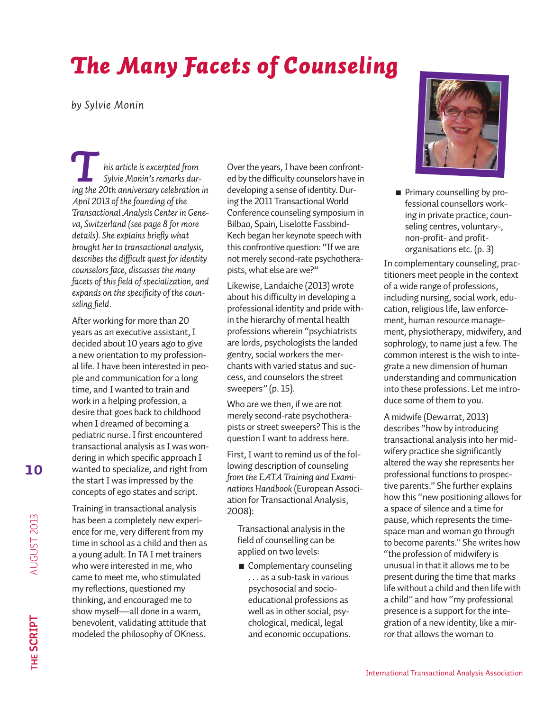# *The Many Facets of Counseling*

*by Sylvie Monin*

*his article is excerpted from Sylvie Monin's remarks dur***i**<br>*Institute is excerpted from*<br>*ing the 20th anniversary celebration in April 2013 of the founding of the Transactional Analysis Center in Geneva, Switzerland (see page 8 for more details). She explains briefly what brought her to transactional analysis, describes the difficult quest for identity counselors face, discusses the many facets of this field of specialization, and expands on the specificity of the counseling field.*

After working for more than 20 years as an executive assistant, I decided about 10 years ago to give a new orientation to my professional life. I have been interested in people and communication for a long time, and I wanted to train and work in a helping profession, a desire that goes back to childhood when I dreamed of becoming a pediatric nurse. I first encountered transactional analysis as I was wondering in which specific approach I wanted to specialize, and right from the start I was impressed by the concepts of ego states and script.

Training in transactional analysis has been a completely new experience for me, very different from my time in school as a child and then as a young adult. In TA I met trainers who were interested in me, who came to meet me, who stimulated my reflections, questioned my thinking, and encouraged me to show myself—all done in a warm, benevolent, validating attitude that modeled the philosophy of OKness.

Over the years, I have been confronted by the difficulty counselors have in developing a sense of identity. During the 2011 Transactional World Conference counseling symposium in Bilbao, Spain, Liselotte Fassbind-Kech began her keynote speech with this confrontive question: "If we are not merely second-rate psychotherapists, what else are we?"

Likewise, Landaiche (2013) wrote about his difficulty in developing a professional identity and pride within the hierarchy of mental health professions wherein "psychiatrists are lords, psychologists the landed gentry, social workers the merchants with varied status and success, and counselors the street sweepers" (p. 15).

Who are we then, if we are not merely second-rate psychotherapists or street sweepers? This is the question I want to address here.

First, I want to remind us of the following description of counseling *from the EATA Training and Examinations Handbook* (European Association for Transactional Analysis, 2008):

Transactional analysis in the field of counselling can be applied on two levels:

■ Complementary counseling . . . as a sub-task in various psychosocial and socioeducational professions as well as in other social, psychological, medical, legal and economic occupations.



**n** Primary counselling by professional counsellors working in private practice, counseling centres, voluntary-, non-profit- and profitorganisations etc. (p. 3)

In complementary counseling, practitioners meet people in the context of a wide range of professions, including nursing, social work, education, religious life, law enforcement, human resource management, physiotherapy, midwifery, and sophrology, to name just a few. The common interest is the wish to integrate a new dimension of human understanding and communication into these professions. Let me introduce some of them to you.

A midwife (Dewarrat, 2013) describes "how by introducing transactional analysis into her midwifery practice she significantly altered the way she represents her professional functions to prospective parents." She further explains how this "new positioning allows for a space of silence and a time for pause, which represents the timespace man and woman go through to become parents." She writes how "the profession of midwifery is unusual in that it allows me to be present during the time that marks life without a child and then life with a child" and how "my professional presence is a support for the integration of a new identity, like a mirror that allows the woman to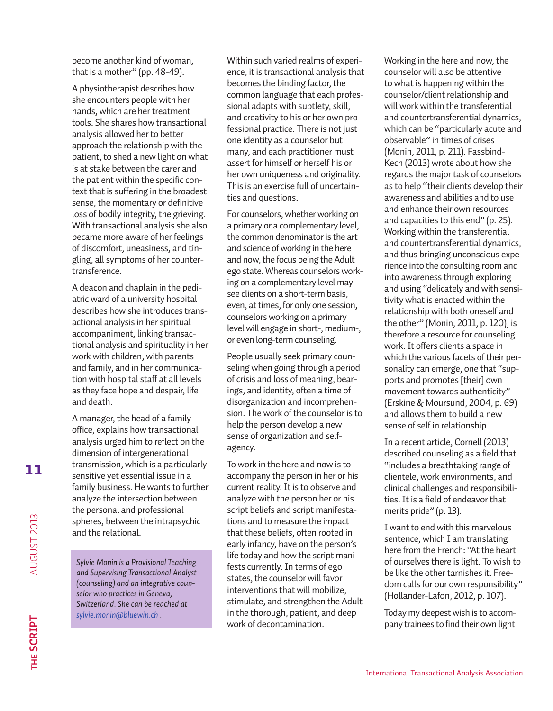become another kind of woman, that is a mother" (pp. 48-49).

A physiotherapist describes how she encounters people with her hands, which are her treatment tools. She shares how transactional analysis allowed her to better approach the relationship with the patient, to shed a new light on what is at stake between the carer and the patient within the specific context that is suffering in the broadest sense, the momentary or definitive loss of bodily integrity, the grieving. With transactional analysis she also became more aware of her feelings of discomfort, uneasiness, and tingling, all symptoms of her countertransference.

A deacon and chaplain in the pediatric ward of a university hospital describes how she introduces transactional analysis in her spiritual accompaniment, linking transactional analysis and spirituality in her work with children, with parents and family, and in her communication with hospital staff at all levels as they face hope and despair, life and death.

A manager, the head of a family office, explains how transactional analysis urged him to reflect on the dimension of intergenerational transmission, which is a particularly sensitive yet essential issue in a family business. He wants to further analyze the intersection between the personal and professional spheres, between the intrapsychic and the relational.

*Sylvie Monin is a Provisional Teaching and Supervising Transactional Analyst (counseling) and an integrative counselor who practices in Geneva, Switzerland. She can be reached at sylvie.monin@bluewin.ch .*

Within such varied realms of experience, it is transactional analysis that becomes the binding factor, the common language that each professional adapts with subtlety, skill, and creativity to his or her own professional practice. There is not just one identity as a counselor but many, and each practitioner must assert for himself or herself his or her own uniqueness and originality. This is an exercise full of uncertainties and questions.

For counselors, whether working on a primary or a complementary level, the common denominator is the art and science of working in the here and now, the focus being the Adult ego state. Whereas counselors working on a complementary level may see clients on a short-term basis, even, at times, for only one session, counselors working on a primary level will engage in short-, medium-, or even long-term counseling.

People usually seek primary counseling when going through a period of crisis and loss of meaning, bearings, and identity, often a time of disorganization and incomprehension. The work of the counselor is to help the person develop a new sense of organization and selfagency.

To work in the here and now is to accompany the person in her or his current reality. It is to observe and analyze with the person her or his script beliefs and script manifestations and to measure the impact that these beliefs, often rooted in early infancy, have on the person's life today and how the script manifests currently. In terms of ego states, the counselor will favor interventions that will mobilize, stimulate, and strengthen the Adult in the thorough, patient, and deep work of decontamination.

Working in the here and now, the counselor will also be attentive to what is happening within the counselor/client relationship and will work within the transferential and countertransferential dynamics, which can be "particularly acute and observable" in times of crises (Monin, 2011, p. 211). Fassbind-Kech (2013) wrote about how she regards the major task of counselors as to help "their clients develop their awareness and abilities and to use and enhance their own resources and capacities to this end" (p. 25). Working within the transferential and countertransferential dynamics, and thus bringing unconscious experience into the consulting room and into awareness through exploring and using "delicately and with sensitivity what is enacted within the relationship with both oneself and the other" (Monin, 2011, p. 120), is therefore a resource for counseling work. It offers clients a space in which the various facets of their personality can emerge, one that "supports and promotes [their] own movement towards authenticity" (Erskine & Moursund, 2004, p. 69) and allows them to build a new sense of self in relationship.

In a recent article, Cornell (2013) described counseling as a field that "includes a breathtaking range of clientele, work environments, and clinical challenges and responsibilities. It is a field of endeavor that merits pride" (p. 13).

I want to end with this marvelous sentence, which I am translating here from the French: "At the heart of ourselves there is light. To wish to be like the other tarnishes it. Freedom calls for our own responsibility" (Hollander-Lafon, 2012, p. 107).

Today my deepest wish is to accompany trainees to find their own light